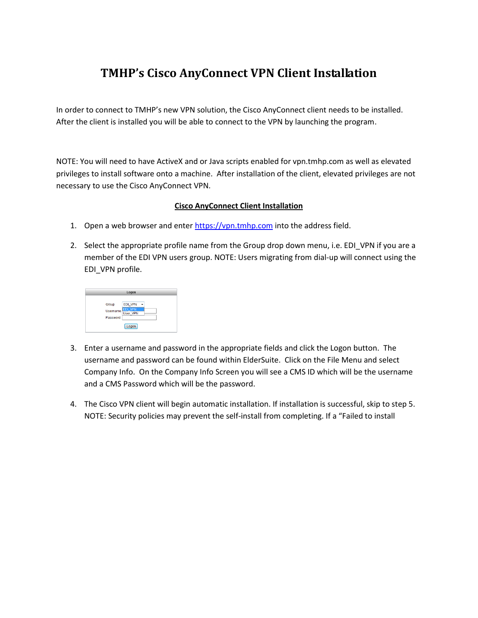## **TMHP's Cisco AnyConnect VPN Client Installation**

In order to connect to TMHP's new VPN solution, the Cisco AnyConnect client needs to be installed. After the client is installed you will be able to connect to the VPN by launching the program.

NOTE: You will need to have ActiveX and or Java scripts enabled for vpn.tmhp.com as well as elevated privileges to install software onto a machine. After installation of the client, elevated privileges are not necessary to use the Cisco AnyConnect VPN.

## **Cisco AnyConnect Client Installation**

- 1. Open a web browser and ente[r https://vpn.tmhp.com](https://vpn.tmhp.com/) into the address field.
- 2. Select the appropriate profile name from the Group drop down menu, i.e. EDI\_VPN if you are a member of the EDI VPN users group. NOTE: Users migrating from dial-up will connect using the EDI\_VPN profile.

| Logon                         |                                                      |  |  |  |  |
|-------------------------------|------------------------------------------------------|--|--|--|--|
| Group<br>Username<br>Password | EDI_VPN<br>٠<br>--------<br><b>User VPN</b><br>Logon |  |  |  |  |

- 3. Enter a username and password in the appropriate fields and click the Logon button. The username and password can be found within ElderSuite. Click on the File Menu and select Company Info. On the Company Info Screen you will see a CMS ID which will be the username and a CMS Password which will be the password.
- 4. The Cisco VPN client will begin automatic installation. If installation is successful, skip to step 5. NOTE: Security policies may prevent the self-install from completing. If a "Failed to install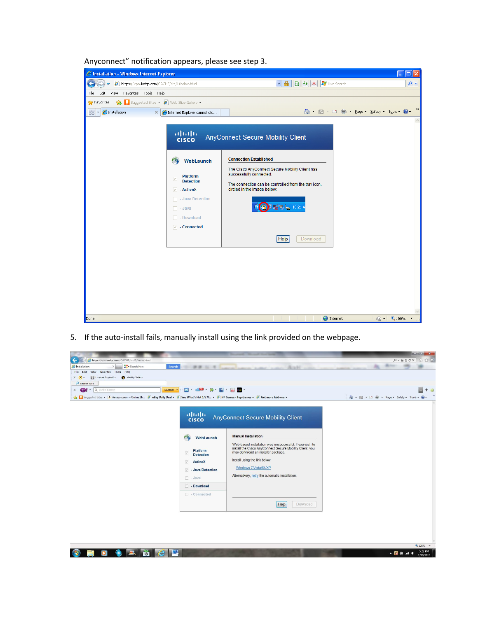| C Installation - Windows Internet Explorer                         |                                                                                                                                                                                                      | $\Box$ ok                                                                                                                                                                                                                                                                                                                        |
|--------------------------------------------------------------------|------------------------------------------------------------------------------------------------------------------------------------------------------------------------------------------------------|----------------------------------------------------------------------------------------------------------------------------------------------------------------------------------------------------------------------------------------------------------------------------------------------------------------------------------|
| $\epsilon$<br>https://vpn.tmhp.com/CACHE/stc/1/index.html          |                                                                                                                                                                                                      | 8 + X Iive Search<br>$\vee$ $\mathbf{a}$<br>$\rho \mid$                                                                                                                                                                                                                                                                          |
| View Favorites Tools Help<br>Edit<br>Eile                          |                                                                                                                                                                                                      |                                                                                                                                                                                                                                                                                                                                  |
| Suggested Sites • @ Web Slice Gallery •<br>$\frac{1}{2}$ Favorites |                                                                                                                                                                                                      |                                                                                                                                                                                                                                                                                                                                  |
| $\boxed{\frac{1}{2}}$ + $\boxed{\frac{1}{2}}$ Installation         | $\mathbb{X}$   $\bigoplus$ Internet Explorer cannot dis                                                                                                                                              | △ - 5 - □ ● - Page - Safety - Tools - ② -                                                                                                                                                                                                                                                                                        |
| Done                                                               | aludu<br> cisco<br>WebLaunch<br>n<br>Platform<br>$\overline{\vee}$<br><b>Detection</b><br>$\boxed{\vee}$ - ActiveX<br>Java Detection<br>$\Box$ - Java<br>$\Box$ - Download<br>$\sqrt{ }$ - Connected | AnyConnect Secure Mobility Client<br><b>Connection Established</b><br>The Cisco AnyConnect Secure Mobility Client has<br>successfully connected.<br>The connection can be controlled from the tray icon,<br>circled in the image below:<br><b>要のと</b> 10:21 A<br>Help<br>Download<br><b>O</b> Internet<br>$\frac{1}{2}$ - 2,100% |

Anyconnect" notification appears, please see step 3.

5. If the auto-install fails, manually install using the link provided on the webpage.

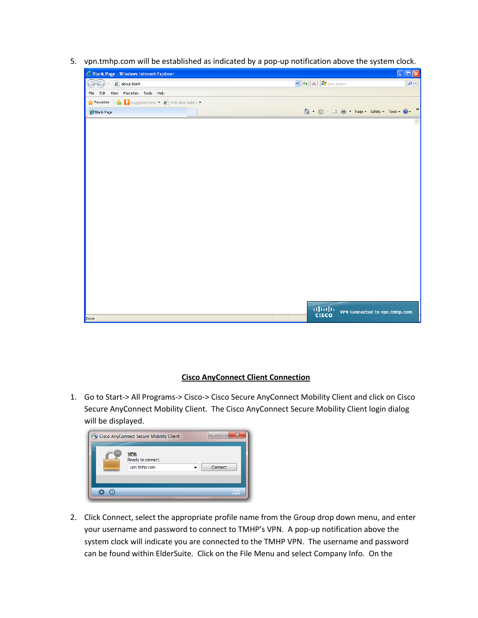5. vpn.tmhp.com will be established as indicated by a pop-up notification above the system clock.



## **Cisco AnyConnect Client Connection**

1. Go to Start-> All Programs-> Cisco-> Cisco Secure AnyConnect Mobility Client and click on Cisco Secure AnyConnect Mobility Client. The Cisco AnyConnect Secure Mobility Client login dialog will be displayed.

|                          | Cisco AnyConnect Secure Mobility Client          | $\overline{a}$ | Ж                       |
|--------------------------|--------------------------------------------------|----------------|-------------------------|
| $\overline{\phantom{0}}$ | <b>VPN:</b><br>Ready to connect.<br>vpn.tmhp.com | Connect        |                         |
|                          |                                                  |                | altalia<br><b>CISCO</b> |

2. Click Connect, select the appropriate profile name from the Group drop down menu, and enter your username and password to connect to TMHP's VPN. A pop-up notification above the system clock will indicate you are connected to the TMHP VPN. The username and password can be found within ElderSuite. Click on the File Menu and select Company Info. On the